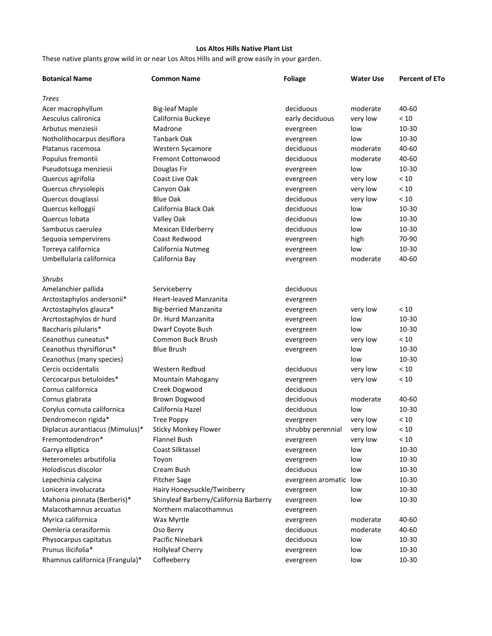## **Los Altos Hills Native Plant List**

These native plants grow wild in or near Los Altos Hills and will grow easily in your garden.

| <b>Botanical Name</b>           | <b>Common Name</b>                     | <b>Foliage</b>         | Water Use | <b>Percent of ETo</b> |
|---------------------------------|----------------------------------------|------------------------|-----------|-----------------------|
| <b>Trees</b>                    |                                        |                        |           |                       |
| Acer macrophyllum               | <b>Big-leaf Maple</b>                  | deciduous              | moderate  | 40-60                 |
| Aesculus calironica             | California Buckeye                     | early deciduous        | very low  | < 10                  |
| Arbutus menziesii               | Madrone                                | evergreen              | low       | 10-30                 |
| Notholithocarpus desiflora      | <b>Tanbark Oak</b>                     | evergreen              | low       | 10-30                 |
| Platanus racemosa               | Western Sycamore                       | deciduous              | moderate  | 40-60                 |
| Populus fremontii               | <b>Fremont Cottonwood</b>              | deciduous              | moderate  | 40-60                 |
| Pseudotsuga menziesii           | Douglas Fir                            | evergreen              | low       | 10-30                 |
| Quercus agrifolia               | Coast Live Oak                         | evergreen              | very low  | < 10                  |
| Quercus chrysolepis             | Canyon Oak                             | evergreen              | very low  | < 10                  |
| Quercus douglassi               | <b>Blue Oak</b>                        | deciduous              | very low  | < 10                  |
| Quercus kelloggii               | California Black Oak                   | deciduous              | low       | 10-30                 |
| Quercus Iobata                  | Valley Oak                             | deciduous              | low       | 10-30                 |
| Sambucus caerulea               | Mexican Elderberry                     | deciduous              | low       | $10 - 30$             |
| Sequoia sempervirens            | Coast Redwood                          | evergreen              | high      | 70-90                 |
| Torreya californica             | California Nutmeg                      | evergreen              | low       | 10-30                 |
| Umbellularia californica        | California Bay                         | evergreen              | moderate  | 40-60                 |
|                                 |                                        |                        |           |                       |
| <b>Shrubs</b>                   |                                        |                        |           |                       |
| Amelanchier pallida             | Serviceberry                           | deciduous              |           |                       |
| Arctostaphylos andersonii*      | Heart-leaved Manzanita                 | evergreen              |           |                       |
| Arctostaphylos glauca*          | <b>Big-berried Manzanita</b>           | evergreen              | very low  | < 10                  |
| Arcrtostaphylos dr hurd         | Dr. Hurd Manzanita                     | evergreen              | low       | 10-30                 |
| Baccharis pilularis*            | Dwarf Coyote Bush                      | evergreen              | low       | 10-30                 |
| Ceanothus cuneatus*             | Common Buck Brush                      | evergreen              | very low  | < 10                  |
| Ceanothus thyrsiflorus*         | <b>Blue Brush</b>                      | evergreen              | low       | 10-30                 |
| Ceanothus (many species)        |                                        |                        | low       | 10-30                 |
| Cercis occidentalis             | Western Redbud                         | deciduous              | very low  | < 10                  |
| Cercocarpus betuloides*         | Mountain Mahogany                      | evergreen              | very low  | < 10                  |
| Cornus californica              | Creek Dogwood                          | deciduous              |           |                       |
| Cornus glabrata                 | Brown Dogwood                          | deciduous              | moderate  | 40-60                 |
| Corylus cornuta californica     | California Hazel                       | deciduous              | low       | 10-30                 |
| Dendromecon rigida*             | <b>Tree Poppy</b>                      | evergreen              | very low  | < 10                  |
| Diplacus aurantiacus (Mimulus)* | <b>Sticky Monkey Flower</b>            | shrubby perennial      | very low  | < 10                  |
| Fremontodendron*                | <b>Flannel Bush</b>                    | evergreen              | very low  | < 10                  |
| Garrya elliptica                | Coast Silktassel                       | evergreen              | low       | 10-30                 |
| Heteromeles arbutifolia         | Toyon                                  | evergreen              | low       | 10-30                 |
| Holodiscus discolor             | Cream Bush                             | deciduous              | low       | $10 - 30$             |
| Lepechinia calycina             | Pitcher Sage                           | evergreen aromatic low |           | $10 - 30$             |
| Lonicera involucrata            | Hairy Honeysuckle/Twinberry            | evergreen              | low       | 10-30                 |
| Mahonia pinnata (Berberis)*     | Shinyleaf Barberry/California Barberry | evergreen              | low       | 10-30                 |
| Malacothamnus arcuatus          | Northern malacothamnus                 | evergreen              |           |                       |
| Myrica californica              | Wax Myrtle                             | evergreen              | moderate  | 40-60                 |
| Oemleria cerasiformis           | Oso Berry                              | deciduous              | moderate  | 40-60                 |
| Physocarpus capitatus           | Pacific Ninebark                       | deciduous              | low       | 10-30                 |
| Prunus ilicifolia*              | <b>Hollyleaf Cherry</b>                | evergreen              | low       | 10-30                 |
| Rhamnus californica (Frangula)* | Coffeeberry                            | evergreen              | low       | 10-30                 |